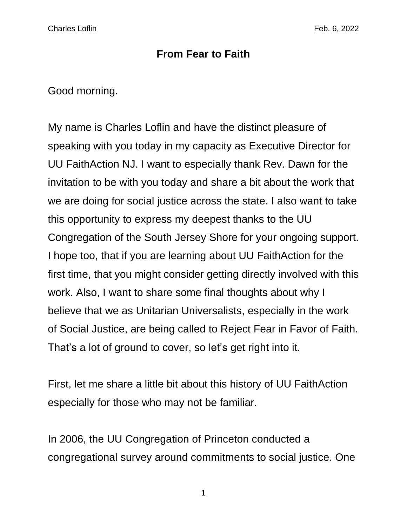## **From Fear to Faith**

Good morning.

My name is Charles Loflin and have the distinct pleasure of speaking with you today in my capacity as Executive Director for UU FaithAction NJ. I want to especially thank Rev. Dawn for the invitation to be with you today and share a bit about the work that we are doing for social justice across the state. I also want to take this opportunity to express my deepest thanks to the UU Congregation of the South Jersey Shore for your ongoing support. I hope too, that if you are learning about UU FaithAction for the first time, that you might consider getting directly involved with this work. Also, I want to share some final thoughts about why I believe that we as Unitarian Universalists, especially in the work of Social Justice, are being called to Reject Fear in Favor of Faith. That's a lot of ground to cover, so let's get right into it.

First, let me share a little bit about this history of UU FaithAction especially for those who may not be familiar.

In 2006, the UU Congregation of Princeton conducted a congregational survey around commitments to social justice. One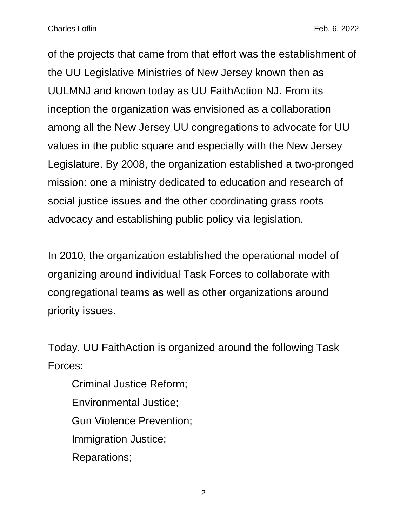of the projects that came from that effort was the establishment of the UU Legislative Ministries of New Jersey known then as UULMNJ and known today as UU FaithAction NJ. From its inception the organization was envisioned as a collaboration among all the New Jersey UU congregations to advocate for UU values in the public square and especially with the New Jersey Legislature. By 2008, the organization established a two-pronged mission: one a ministry dedicated to education and research of social justice issues and the other coordinating grass roots advocacy and establishing public policy via legislation.

In 2010, the organization established the operational model of organizing around individual Task Forces to collaborate with congregational teams as well as other organizations around priority issues.

Today, UU FaithAction is organized around the following Task Forces:

Criminal Justice Reform; Environmental Justice; Gun Violence Prevention; Immigration Justice; Reparations;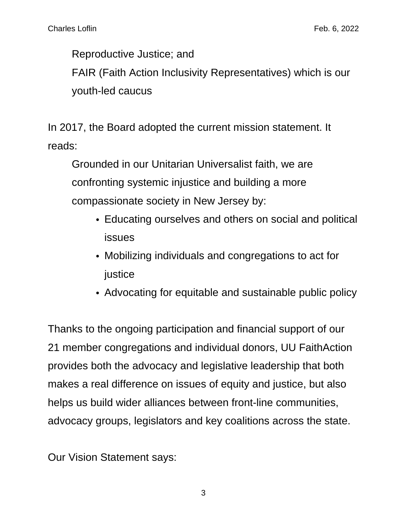Reproductive Justice; and

FAIR (Faith Action Inclusivity Representatives) which is our youth-led caucus

In 2017, the Board adopted the current mission statement. It reads:

Grounded in our Unitarian Universalist faith, we are confronting systemic injustice and building a more compassionate society in New Jersey by:

- Educating ourselves and others on social and political issues
- Mobilizing individuals and congregations to act for justice
- Advocating for equitable and sustainable public policy

Thanks to the ongoing participation and financial support of our 21 member congregations and individual donors, UU FaithAction provides both the advocacy and legislative leadership that both makes a real difference on issues of equity and justice, but also helps us build wider alliances between front-line communities, advocacy groups, legislators and key coalitions across the state.

Our Vision Statement says: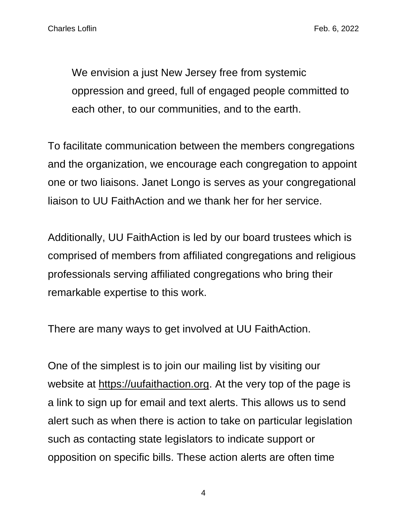We envision a just New Jersey free from systemic oppression and greed, full of engaged people committed to each other, to our communities, and to the earth.

To facilitate communication between the members congregations and the organization, we encourage each congregation to appoint one or two liaisons. Janet Longo is serves as your congregational liaison to UU FaithAction and we thank her for her service.

Additionally, UU FaithAction is led by our board trustees which is comprised of members from affiliated congregations and religious professionals serving affiliated congregations who bring their remarkable expertise to this work.

There are many ways to get involved at UU FaithAction.

One of the simplest is to join our mailing list by visiting our website at [https://uufaithaction.org.](https://uufaithaction.org/) At the very top of the page is a link to sign up for email and text alerts. This allows us to send alert such as when there is action to take on particular legislation such as contacting state legislators to indicate support or opposition on specific bills. These action alerts are often time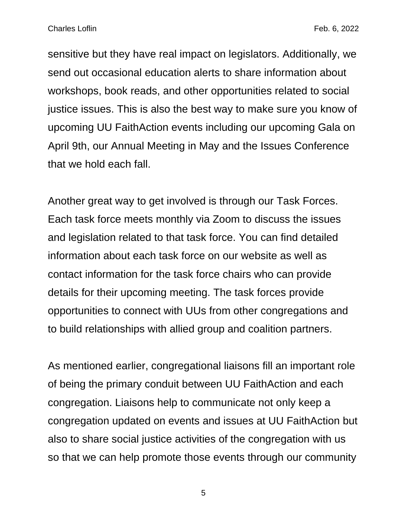sensitive but they have real impact on legislators. Additionally, we send out occasional education alerts to share information about workshops, book reads, and other opportunities related to social justice issues. This is also the best way to make sure you know of upcoming UU FaithAction events including our upcoming Gala on April 9th, our Annual Meeting in May and the Issues Conference that we hold each fall.

Another great way to get involved is through our Task Forces. Each task force meets monthly via Zoom to discuss the issues and legislation related to that task force. You can find detailed information about each task force on our website as well as contact information for the task force chairs who can provide details for their upcoming meeting. The task forces provide opportunities to connect with UUs from other congregations and to build relationships with allied group and coalition partners.

As mentioned earlier, congregational liaisons fill an important role of being the primary conduit between UU FaithAction and each congregation. Liaisons help to communicate not only keep a congregation updated on events and issues at UU FaithAction but also to share social justice activities of the congregation with us so that we can help promote those events through our community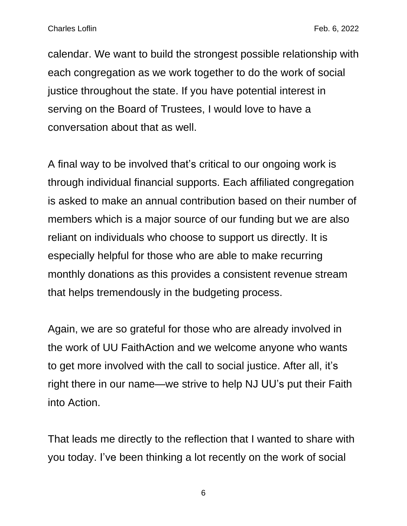calendar. We want to build the strongest possible relationship with each congregation as we work together to do the work of social justice throughout the state. If you have potential interest in serving on the Board of Trustees, I would love to have a conversation about that as well.

A final way to be involved that's critical to our ongoing work is through individual financial supports. Each affiliated congregation is asked to make an annual contribution based on their number of members which is a major source of our funding but we are also reliant on individuals who choose to support us directly. It is especially helpful for those who are able to make recurring monthly donations as this provides a consistent revenue stream that helps tremendously in the budgeting process.

Again, we are so grateful for those who are already involved in the work of UU FaithAction and we welcome anyone who wants to get more involved with the call to social justice. After all, it's right there in our name—we strive to help NJ UU's put their Faith into Action.

That leads me directly to the reflection that I wanted to share with you today. I've been thinking a lot recently on the work of social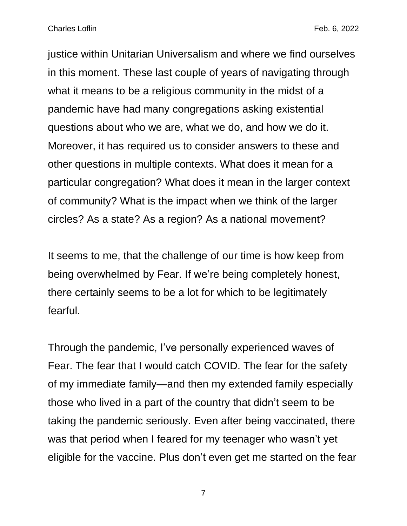justice within Unitarian Universalism and where we find ourselves in this moment. These last couple of years of navigating through what it means to be a religious community in the midst of a pandemic have had many congregations asking existential questions about who we are, what we do, and how we do it. Moreover, it has required us to consider answers to these and other questions in multiple contexts. What does it mean for a particular congregation? What does it mean in the larger context of community? What is the impact when we think of the larger circles? As a state? As a region? As a national movement?

It seems to me, that the challenge of our time is how keep from being overwhelmed by Fear. If we're being completely honest, there certainly seems to be a lot for which to be legitimately fearful.

Through the pandemic, I've personally experienced waves of Fear. The fear that I would catch COVID. The fear for the safety of my immediate family—and then my extended family especially those who lived in a part of the country that didn't seem to be taking the pandemic seriously. Even after being vaccinated, there was that period when I feared for my teenager who wasn't yet eligible for the vaccine. Plus don't even get me started on the fear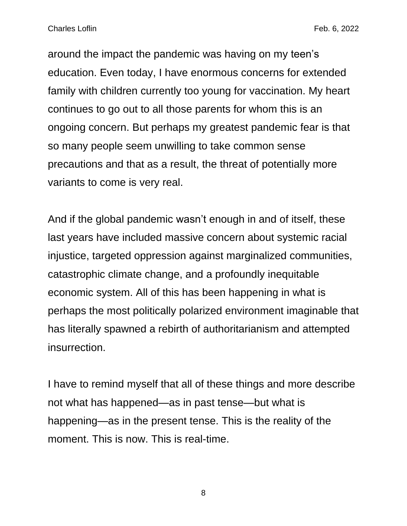around the impact the pandemic was having on my teen's education. Even today, I have enormous concerns for extended family with children currently too young for vaccination. My heart continues to go out to all those parents for whom this is an ongoing concern. But perhaps my greatest pandemic fear is that so many people seem unwilling to take common sense precautions and that as a result, the threat of potentially more variants to come is very real.

And if the global pandemic wasn't enough in and of itself, these last years have included massive concern about systemic racial injustice, targeted oppression against marginalized communities, catastrophic climate change, and a profoundly inequitable economic system. All of this has been happening in what is perhaps the most politically polarized environment imaginable that has literally spawned a rebirth of authoritarianism and attempted insurrection.

I have to remind myself that all of these things and more describe not what has happened—as in past tense—but what is happening—as in the present tense. This is the reality of the moment. This is now. This is real-time.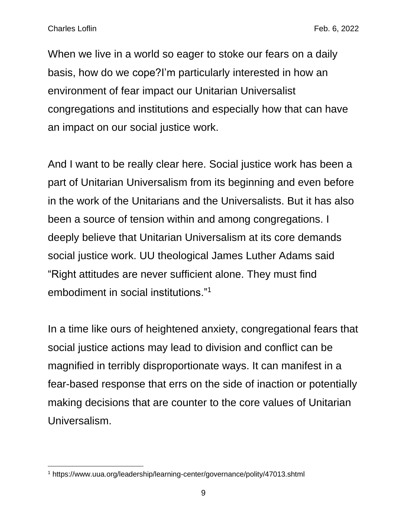When we live in a world so eager to stoke our fears on a daily basis, how do we cope?I'm particularly interested in how an environment of fear impact our Unitarian Universalist congregations and institutions and especially how that can have an impact on our social justice work.

And I want to be really clear here. Social justice work has been a part of Unitarian Universalism from its beginning and even before in the work of the Unitarians and the Universalists. But it has also been a source of tension within and among congregations. I deeply believe that Unitarian Universalism at its core demands social justice work. UU theological James Luther Adams said "Right attitudes are never sufficient alone. They must find embodiment in social institutions."<sup>1</sup>

In a time like ours of heightened anxiety, congregational fears that social justice actions may lead to division and conflict can be magnified in terribly disproportionate ways. It can manifest in a fear-based response that errs on the side of inaction or potentially making decisions that are counter to the core values of Unitarian Universalism.

<sup>1</sup> https://www.uua.org/leadership/learning-center/governance/polity/47013.shtml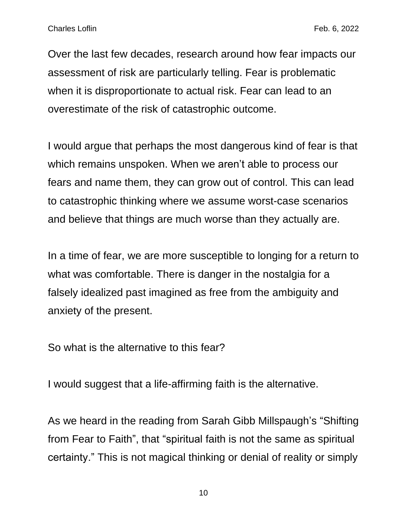Over the last few decades, research around how fear impacts our assessment of risk are particularly telling. Fear is problematic when it is disproportionate to actual risk. Fear can lead to an overestimate of the risk of catastrophic outcome.

I would argue that perhaps the most dangerous kind of fear is that which remains unspoken. When we aren't able to process our fears and name them, they can grow out of control. This can lead to catastrophic thinking where we assume worst-case scenarios and believe that things are much worse than they actually are.

In a time of fear, we are more susceptible to longing for a return to what was comfortable. There is danger in the nostalgia for a falsely idealized past imagined as free from the ambiguity and anxiety of the present.

So what is the alternative to this fear?

I would suggest that a life-affirming faith is the alternative.

As we heard in the reading from Sarah Gibb Millspaugh's "Shifting from Fear to Faith", that "spiritual faith is not the same as spiritual certainty." This is not magical thinking or denial of reality or simply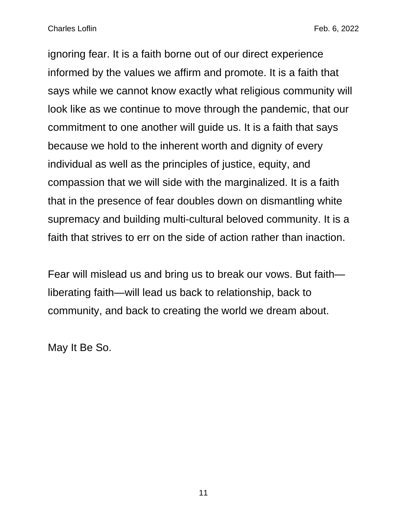ignoring fear. It is a faith borne out of our direct experience informed by the values we affirm and promote. It is a faith that says while we cannot know exactly what religious community will look like as we continue to move through the pandemic, that our commitment to one another will guide us. It is a faith that says because we hold to the inherent worth and dignity of every individual as well as the principles of justice, equity, and compassion that we will side with the marginalized. It is a faith that in the presence of fear doubles down on dismantling white supremacy and building multi-cultural beloved community. It is a faith that strives to err on the side of action rather than inaction.

Fear will mislead us and bring us to break our vows. But faith liberating faith—will lead us back to relationship, back to community, and back to creating the world we dream about.

May It Be So.